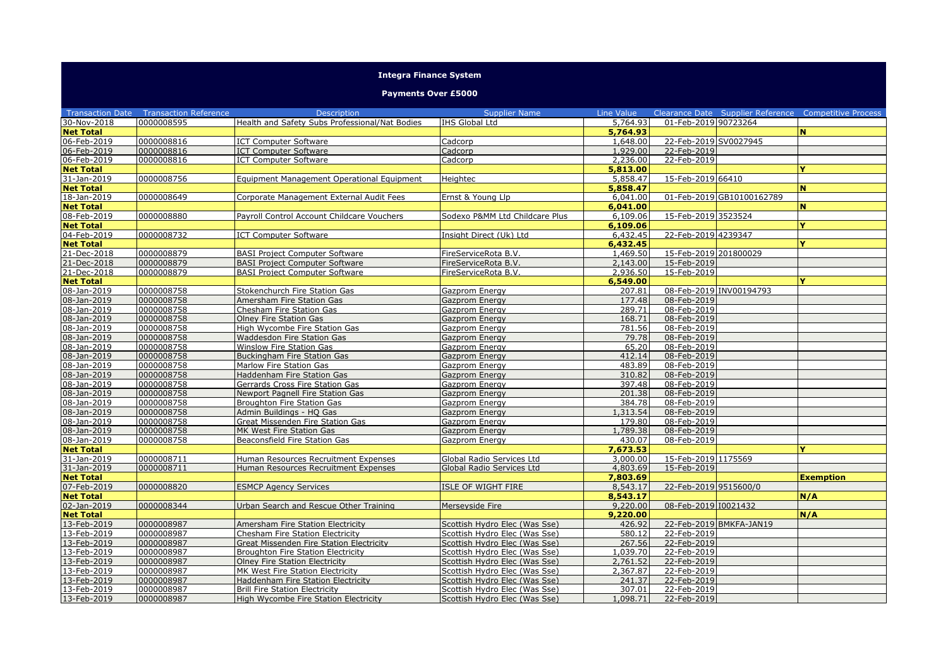## **Integra Finance System**

## **Payments Over £5000**

|                  | <b>Transaction Date  Transaction Reference</b> | <b>Description</b>                             | <b>Supplier Name</b>           | Line Value |                       |                           | Clearance Date Supplier Reference Competitive Process |
|------------------|------------------------------------------------|------------------------------------------------|--------------------------------|------------|-----------------------|---------------------------|-------------------------------------------------------|
| 30-Nov-2018      | 0000008595                                     | Health and Safety Subs Professional/Nat Bodies | IHS Global Ltd                 | 5,764.93   | 01-Feb-2019 90723264  |                           |                                                       |
| <b>Net Total</b> |                                                |                                                |                                | 5,764.93   |                       |                           | N.                                                    |
| 06-Feb-2019      | 0000008816                                     | <b>ICT Computer Software</b>                   | Cadcorp                        | 1,648.00   | 22-Feb-2019 SV0027945 |                           |                                                       |
| 06-Feb-2019      | 0000008816                                     | <b>ICT Computer Software</b>                   | Cadcorp                        | 1.929.00   | 22-Feb-2019           |                           |                                                       |
| 06-Feb-2019      | 0000008816                                     | <b>ICT Computer Software</b>                   | Cadcorp                        | 2,236.00   | 22-Feb-2019           |                           |                                                       |
| <b>Net Total</b> |                                                |                                                |                                | 5,813.00   |                       |                           |                                                       |
| 31-Jan-2019      | 0000008756                                     | Equipment Management Operational Equipment     | Heightec                       | 5,858.47   | 15-Feb-2019 66410     |                           |                                                       |
| <b>Net Total</b> |                                                |                                                |                                | 5,858.47   |                       |                           | N.                                                    |
| 18-Jan-2019      | 0000008649                                     | Corporate Management External Audit Fees       | Ernst & Young Llp              | 6,041.00   |                       | 01-Feb-2019 GB10100162789 |                                                       |
| <b>Net Total</b> |                                                |                                                |                                | 6,041,00   |                       |                           | N.                                                    |
| 08-Feb-2019      | 0000008880                                     | Payroll Control Account Childcare Vouchers     | Sodexo P&MM Ltd Childcare Plus | 6,109.06   | 15-Feb-2019 3523524   |                           |                                                       |
| <b>Net Total</b> |                                                |                                                |                                | 6,109.06   |                       |                           | Y                                                     |
| 04-Feb-2019      | 0000008732                                     | <b>ICT Computer Software</b>                   | Insight Direct (Uk) Ltd        | 6,432.45   | 22-Feb-2019 4239347   |                           |                                                       |
| <b>Net Total</b> |                                                |                                                |                                | 6,432.45   |                       |                           | v                                                     |
| 21-Dec-2018      | 0000008879                                     | <b>BASI Project Computer Software</b>          | FireServiceRota B.V.           | 1,469.50   | 15-Feb-2019 201800029 |                           |                                                       |
| 21-Dec-2018      | 0000008879                                     | <b>BASI Project Computer Software</b>          | FireServiceRota B.V.           | 2,143.00   | 15-Feb-2019           |                           |                                                       |
| 21-Dec-2018      | 0000008879                                     | <b>BASI Project Computer Software</b>          | FireServiceRota B.V.           | 2,936.50   | 15-Feb-2019           |                           |                                                       |
| <b>Net Total</b> |                                                |                                                |                                | 6,549.00   |                       |                           | v                                                     |
| 08-Jan-2019      | 0000008758                                     | Stokenchurch Fire Station Gas                  | Gazprom Energy                 | 207.81     |                       | 08-Feb-2019 INV00194793   |                                                       |
| 08-Jan-2019      | 0000008758                                     | Amersham Fire Station Gas                      | Gazprom Energy                 | 177.48     | 08-Feb-2019           |                           |                                                       |
| 08-Jan-2019      | 0000008758                                     | Chesham Fire Station Gas                       | Gazprom Energy                 | 289.71     | 08-Feb-2019           |                           |                                                       |
| 08-Jan-2019      | 0000008758                                     | Olney Fire Station Gas                         | Gazprom Energy                 | 168.71     | 08-Feb-2019           |                           |                                                       |
| 08-Jan-2019      | 0000008758                                     | High Wycombe Fire Station Gas                  | Gazprom Energy                 | 781.56     | 08-Feb-2019           |                           |                                                       |
| 08-Jan-2019      | 0000008758                                     | Waddesdon Fire Station Gas                     | Gazprom Energy                 | 79.78      | 08-Feb-2019           |                           |                                                       |
| 08-Jan-2019      | 0000008758                                     | Winslow Fire Station Gas                       | Gazprom Energy                 | 65.20      | 08-Feb-2019           |                           |                                                       |
| 08-Jan-2019      | 0000008758                                     | Buckingham Fire Station Gas                    | Gazprom Energy                 | 412.14     | 08-Feb-2019           |                           |                                                       |
| 08-Jan-2019      | 0000008758                                     | Marlow Fire Station Gas                        | Gazprom Energy                 | 483.89     | 08-Feb-2019           |                           |                                                       |
| 08-Jan-2019      | 0000008758                                     | Haddenham Fire Station Gas                     | Gazprom Energy                 | 310.82     | 08-Feb-2019           |                           |                                                       |
| 08-Jan-2019      | 0000008758                                     | Gerrards Cross Fire Station Gas                | Gazprom Energy                 | 397.48     | 08-Feb-2019           |                           |                                                       |
| 08-Jan-2019      | 0000008758                                     | Newport Pagnell Fire Station Gas               | Gazprom Energy                 | 201.38     | 08-Feb-2019           |                           |                                                       |
| 08-Jan-2019      | 0000008758                                     | Broughton Fire Station Gas                     | Gazprom Energy                 | 384.78     | 08-Feb-2019           |                           |                                                       |
| 08-Jan-2019      | 0000008758                                     | Admin Buildings - HQ Gas                       | Gazprom Energy                 | 1,313.54   | 08-Feb-2019           |                           |                                                       |
| 08-Jan-2019      | 0000008758                                     | Great Missenden Fire Station Gas               | Gazprom Energy                 | 179.80     | 08-Feb-2019           |                           |                                                       |
| 08-Jan-2019      | 0000008758                                     | MK West Fire Station Gas                       | Gazprom Energy                 | 1,789.38   | 08-Feb-2019           |                           |                                                       |
| 08-Jan-2019      | 0000008758                                     | Beaconsfield Fire Station Gas                  | Gazprom Energy                 | 430.07     | 08-Feb-2019           |                           |                                                       |
| <b>Net Total</b> |                                                |                                                |                                | 7,673.53   |                       |                           |                                                       |
| 31-Jan-2019      | 0000008711                                     | Human Resources Recruitment Expenses           | Global Radio Services Ltd      | 3,000,00   | 15-Feb-2019 1175569   |                           |                                                       |
| 31-Jan-2019      | 0000008711                                     | Human Resources Recruitment Expenses           | Global Radio Services Ltd      | 4,803.69   | 15-Feb-2019           |                           |                                                       |
| <b>Net Total</b> |                                                |                                                |                                | 7,803.69   |                       |                           | <b>Exemption</b>                                      |
| 07-Feb-2019      | 0000008820                                     | <b>ESMCP Agency Services</b>                   | ISLE OF WIGHT FIRE             | 8,543.17   | 22-Feb-2019 9515600/0 |                           |                                                       |
| <b>Net Total</b> |                                                |                                                |                                | 8,543.17   |                       |                           | N/A                                                   |
| 02-Jan-2019      | 0000008344                                     | Urban Search and Rescue Other Training         | Merseyside Fire                | 9,220,00   | 08-Feb-2019 I0021432  |                           |                                                       |
| <b>Net Total</b> |                                                |                                                |                                | 9,220,00   |                       |                           | N/A                                                   |
| 13-Feb-2019      | 0000008987                                     | Amersham Fire Station Electricity              | Scottish Hydro Elec (Was Sse)  | 426.92     |                       | 22-Feb-2019 BMKFA-JAN19   |                                                       |
| 13-Feb-2019      | 0000008987                                     | Chesham Fire Station Electricity               | Scottish Hydro Elec (Was Sse)  | 580.12     | 22-Feb-2019           |                           |                                                       |
| 13-Feb-2019      | 0000008987                                     | Great Missenden Fire Station Electricity       | Scottish Hydro Elec (Was Sse)  | 267.56     | 22-Feb-2019           |                           |                                                       |
| 13-Feb-2019      | 0000008987                                     | Broughton Fire Station Electricity             | Scottish Hydro Elec (Was Sse)  | 1,039.70   | 22-Feb-2019           |                           |                                                       |
| 13-Feb-2019      | 0000008987                                     | <b>Olney Fire Station Electricity</b>          | Scottish Hydro Elec (Was Sse)  | 2,761.52   | 22-Feb-2019           |                           |                                                       |
| 13-Feb-2019      | 0000008987                                     | MK West Fire Station Electricity               | Scottish Hydro Elec (Was Sse)  | 2,367.87   | 22-Feb-2019           |                           |                                                       |
| 13-Feb-2019      | 0000008987                                     | Haddenham Fire Station Electricity             | Scottish Hydro Elec (Was Sse)  | 241.37     | 22-Feb-2019           |                           |                                                       |
| 13-Feb-2019      | 0000008987                                     | <b>Brill Fire Station Electricity</b>          | Scottish Hydro Elec (Was Sse)  | 307.01     | 22-Feb-2019           |                           |                                                       |
| 13-Feb-2019      | 0000008987                                     | High Wycombe Fire Station Electricity          | Scottish Hydro Elec (Was Sse)  | 1,098.71   | 22-Feb-2019           |                           |                                                       |